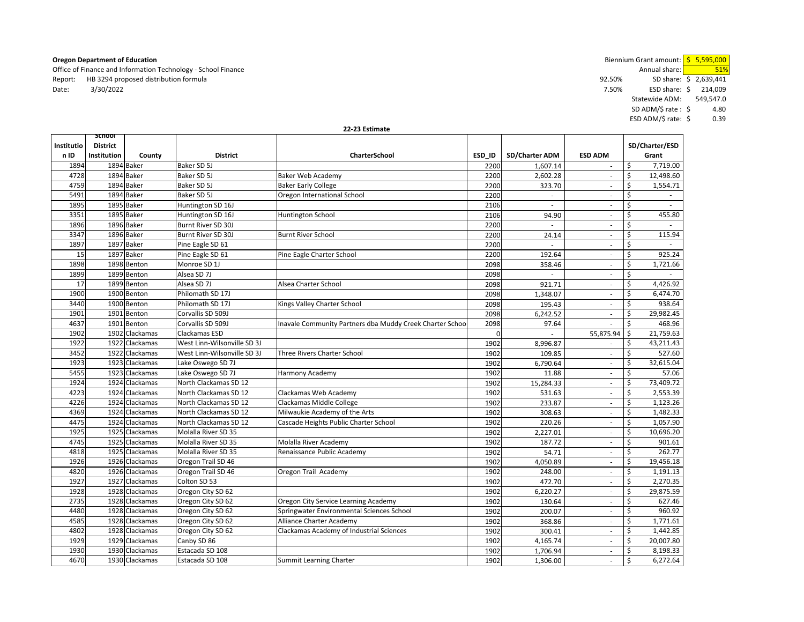Office of Finance and Information Technology - School Finance Annual share: **51%** Annual share: 51% Annual share: 51% Annual share: 51% Annual share: 51% Annual share: 51% Annual share: 51% Annual share: 51% Annual share: Report: HB 3294 proposed distribution formula example and the state of the state of the state of the state of the state of the state of the state of the state of the state of the state of the state of the state of the stat Date: 3/30/2022 7.50% ESD share: 214,009 \$

**Oregon Department of Education Contains a construction Department of Education** Biennium Grant amount: <mark>\$ 5,595,000</mark> Statewide ADM: 549,547.0 SD ADM/\$ rate : \$4.80 ESD ADM/\$ rate: 0.39 \$

| 22-23 Estimate |
|----------------|
|                |

| Institutio | <b>SCHOOL</b><br><b>District</b> |                |                             |                                                          |          |                          |                          |    | SD/Charter/ESD |
|------------|----------------------------------|----------------|-----------------------------|----------------------------------------------------------|----------|--------------------------|--------------------------|----|----------------|
| n ID       | Institution                      | County         | <b>District</b>             | CharterSchool                                            | ESD ID   | SD/Charter ADM           | <b>ESD ADM</b>           |    | Grant          |
| 1894       |                                  | 1894 Baker     | Baker SD 5J                 |                                                          | 2200     | 1,607.14                 | ×.                       | \$ | 7,719.00       |
| 4728       |                                  | 1894 Baker     | Baker SD 5J                 | <b>Baker Web Academy</b>                                 | 2200     | 2.602.28                 | $\sim$                   | Ŝ. | 12,498.60      |
| 4759       |                                  | 1894 Baker     | Baker SD 5J                 | <b>Baker Early College</b>                               | 2200     | 323.70                   | $\sim$                   | \$ | 1,554.71       |
| 5491       |                                  | 1894 Baker     | Baker SD 5J                 | Oregon International School                              | 2200     | $\overline{\phantom{a}}$ | $\sim$                   | \$ |                |
| 1895       |                                  | 1895 Baker     | Huntington SD 16J           |                                                          | 2106     | $\sim$                   | $\overline{\phantom{a}}$ | \$ | $\sim$         |
| 3351       |                                  | 1895 Baker     | Huntington SD 16J           | Huntington School                                        | 2106     | 94.90                    | $\sim$                   | \$ | 455.80         |
| 1896       |                                  | 1896 Baker     | Burnt River SD 30J          |                                                          | 2200     | $\sim$                   | ×.                       | \$ | $\sim$         |
| 3347       |                                  | 1896 Baker     | Burnt River SD 30J          | <b>Burnt River School</b>                                | 2200     | 24.14                    | ٠                        | Ś  | 115.94         |
| 1897       |                                  | 1897 Baker     | Pine Eagle SD 61            |                                                          | 2200     | $\sim$                   | $\overline{\phantom{a}}$ | \$ |                |
| 15         |                                  | 1897 Baker     | Pine Eagle SD 61            | Pine Eagle Charter School                                | 2200     | 192.64                   | $\overline{\phantom{a}}$ | \$ | 925.24         |
| 1898       |                                  | 1898 Benton    | Monroe SD 1J                |                                                          | 2098     | 358.46                   | ×.                       | \$ | 1,721.66       |
| 1899       |                                  | 1899 Benton    | Alsea SD 7J                 |                                                          | 2098     | $\mathbf{r}$             | $\sim$                   | \$ | $\sim$         |
| 17         |                                  | 1899 Benton    | Alsea SD 7J                 | Alsea Charter School                                     | 2098     | 921.71                   | $\sim$                   | \$ | 4,426.92       |
| 1900       |                                  | 1900 Benton    | Philomath SD 17J            |                                                          | 2098     | 1,348.07                 | $\sim$                   | \$ | 6,474.70       |
| 3440       |                                  | 1900 Benton    | Philomath SD 17J            | Kings Valley Charter School                              | 2098     | 195.43                   | $\sim$                   | \$ | 938.64         |
| 1901       |                                  | 1901 Benton    | Corvallis SD 509J           |                                                          | 2098     | 6,242.52                 | $\overline{\phantom{a}}$ | \$ | 29,982.45      |
| 4637       |                                  | 1901 Benton    | Corvallis SD 509J           | Inavale Community Partners dba Muddy Creek Charter Schoo | 2098     | 97.64                    | $\sim$                   | \$ | 468.96         |
| 1902       |                                  | 1902 Clackamas | Clackamas ESD               |                                                          | $\Omega$ |                          | 55,875.94                | \$ | 21,759.63      |
| 1922       |                                  | 1922 Clackamas | West Linn-Wilsonville SD 3J |                                                          | 1902     | 8,996.87                 | $\overline{\phantom{a}}$ | \$ | 43,211.43      |
| 3452       |                                  | 1922 Clackamas | West Linn-Wilsonville SD 3J | Three Rivers Charter School                              | 1902     | 109.85                   | $\sim$                   | \$ | 527.60         |
| 1923       |                                  | 1923 Clackamas | Lake Oswego SD 7J           |                                                          | 1902     | 6,790.64                 |                          | \$ | 32,615.04      |
| 5455       |                                  | 1923 Clackamas | Lake Oswego SD 7J           | Harmony Academy                                          | 1902     | 11.88                    | $\overline{\phantom{a}}$ | \$ | 57.06          |
| 1924       |                                  | 1924 Clackamas | North Clackamas SD 12       |                                                          | 1902     | 15,284.33                | $\sim$                   | \$ | 73,409.72      |
| 4223       |                                  | 1924 Clackamas | North Clackamas SD 12       | Clackamas Web Academy                                    | 1902     | 531.63                   | $\overline{\phantom{a}}$ | \$ | 2,553.39       |
| 4226       |                                  | 1924 Clackamas | North Clackamas SD 12       | Clackamas Middle College                                 | 1902     | 233.87                   | $\sim$                   | \$ | 1,123.26       |
| 4369       |                                  | 1924 Clackamas | North Clackamas SD 12       | Milwaukie Academy of the Arts                            | 1902     | 308.63                   | $\sim$                   | \$ | 1,482.33       |
| 4475       |                                  | 1924 Clackamas | North Clackamas SD 12       | Cascade Heights Public Charter School                    | 1902     | 220.26                   | $\mathcal{L}$            | \$ | 1,057.90       |
| 1925       |                                  | 1925 Clackamas | Molalla River SD 35         |                                                          | 1902     | 2,227.01                 | ×.                       | \$ | 10,696.20      |
| 4745       |                                  | 1925 Clackamas | Molalla River SD 35         | Molalla River Academy                                    | 1902     | 187.72                   | $\sim$                   | \$ | 901.61         |
| 4818       |                                  | 1925 Clackamas | Molalla River SD 35         | Renaissance Public Academy                               | 1902     | 54.71                    | $\overline{\phantom{a}}$ | \$ | 262.77         |
| 1926       |                                  | 1926 Clackamas | Oregon Trail SD 46          |                                                          | 1902     | 4,050.89                 | $\sim$                   | \$ | 19,456.18      |
| 4820       |                                  | 1926 Clackamas | Oregon Trail SD 46          | Oregon Trail Academy                                     | 1902     | 248.00                   | $\overline{\phantom{a}}$ | \$ | 1,191.13       |
| 1927       |                                  | 1927 Clackamas | Colton SD 53                |                                                          | 1902     | 472.70                   | $\sim$                   | \$ | 2,270.35       |
| 1928       |                                  | 1928 Clackamas | Oregon City SD 62           |                                                          | 1902     | 6,220.27                 | ×.                       | \$ | 29,875.59      |
| 2735       |                                  | 1928 Clackamas | Oregon City SD 62           | Oregon City Service Learning Academy                     | 1902     | 130.64                   | $\sim$                   | \$ | 627.46         |
| 4480       | 1928                             | Clackamas      | Oregon City SD 62           | Springwater Environmental Sciences School                | 1902     | 200.07                   | $\sim$                   | \$ | 960.92         |
| 4585       |                                  | 1928 Clackamas | Oregon City SD 62           | Alliance Charter Academy                                 | 1902     | 368.86                   | $\overline{\phantom{a}}$ | \$ | 1,771.61       |
| 4802       |                                  | 1928 Clackamas | Oregon City SD 62           | Clackamas Academy of Industrial Sciences                 | 1902     | 300.41                   | $\sim$                   | \$ | 1,442.85       |
| 1929       |                                  | 1929 Clackamas | Canby SD 86                 |                                                          | 1902     | 4,165.74                 | $\overline{\phantom{a}}$ | \$ | 20,007.80      |
| 1930       |                                  | 1930 Clackamas | Estacada SD 108             |                                                          | 1902     | 1,706.94                 | $\sim$                   | \$ | 8,198.33       |
| 4670       |                                  | 1930 Clackamas | Estacada SD 108             | <b>Summit Learning Charter</b>                           | 1902     | 1,306.00                 | $\sim$                   | \$ | 6,272.64       |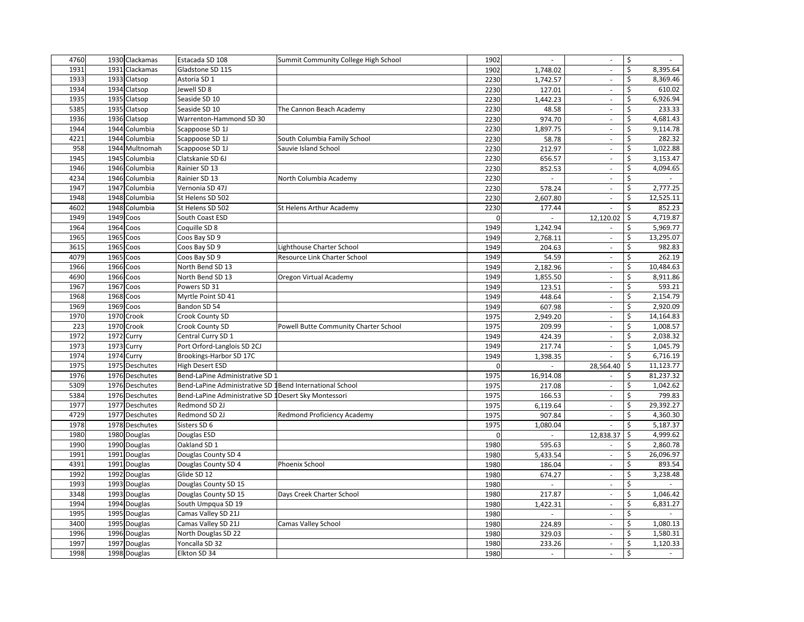| 4760 | 1930 Clackamas | Estacada SD 108                                          | Summit Community College High School  | 1902         | $\overline{\phantom{a}}$ | $\sim$                      | \$<br>$\blacksquare$           |
|------|----------------|----------------------------------------------------------|---------------------------------------|--------------|--------------------------|-----------------------------|--------------------------------|
| 1931 | 1931 Clackamas | Gladstone SD 115                                         |                                       | 1902         | 1,748.02                 | $\Box$                      | \$<br>8,395.64                 |
| 1933 | 1933 Clatsop   | Astoria SD 1                                             |                                       | 2230         | 1,742.57                 | $\overline{\phantom{a}}$    | 8,369.46<br>\$                 |
| 1934 | 1934 Clatsop   | Jewell SD 8                                              |                                       | 2230         | 127.01                   | $\overline{\phantom{a}}$    | 610.02<br>\$                   |
| 1935 | 1935 Clatsop   | Seaside SD 10                                            |                                       | 2230         | 1,442.23                 | $\sim$                      | \$<br>6,926.94                 |
| 5385 | 1935 Clatsop   | Seaside SD 10                                            | The Cannon Beach Academy              | 2230         | 48.58                    | $\sim$                      | \$<br>233.33                   |
| 1936 | 1936 Clatsop   | Warrenton-Hammond SD 30                                  |                                       | 2230         | 974.70                   | $\overline{\phantom{a}}$    | \$<br>4,681.43                 |
| 1944 | 1944 Columbia  | Scappoose SD 1J                                          |                                       | 2230         | 1,897.75                 | ÷,                          | \$<br>9,114.78                 |
| 4221 | 1944 Columbia  | Scappoose SD 1J                                          | South Columbia Family School          | 2230         | 58.78                    | ÷,                          | 282.32<br>\$                   |
| 958  | 1944 Multnomah | Scappoose SD 1J                                          | Sauvie Island School                  | 2230         | 212.97                   | $\Box$                      | \$<br>1,022.88                 |
| 1945 | 1945 Columbia  | Clatskanie SD 6J                                         |                                       | 2230         | 656.57                   | ÷,                          | \$<br>3,153.47                 |
| 1946 | 1946 Columbia  | Rainier SD 13                                            |                                       | 2230         | 852.53                   | $\omega$                    | \$<br>4,094.65                 |
| 4234 | 1946 Columbia  | Rainier SD 13                                            | North Columbia Academy                | 2230         | $\sim$                   | $\mathcal{L}$               | \$                             |
| 1947 | 1947 Columbia  | Vernonia SD 47J                                          |                                       | 2230         | 578.24                   | $\omega$                    | 2,777.25<br>\$                 |
| 1948 | 1948 Columbia  | St Helens SD 502                                         |                                       | 2230         | 2,607.80                 | $\overline{\phantom{a}}$    | \$<br>12,525.11                |
| 4602 | 1948 Columbia  | St Helens SD 502                                         | St Helens Arthur Academy              | 2230         | 177.44                   | ä,                          | 852.23<br>\$                   |
| 1949 | 1949 Coos      | South Coast ESD                                          |                                       | $\mathbf{0}$ | $\overline{\phantom{a}}$ | 12,120.02                   | 4,719.87<br>\$                 |
| 1964 | 1964 Coos      | Coquille SD 8                                            |                                       | 1949         | 1,242.94                 | $\mathcal{L}_{\mathcal{A}}$ | \$<br>5,969.77                 |
| 1965 | 1965 Coos      | Coos Bay SD 9                                            |                                       | 1949         | 2,768.11                 | $\overline{\phantom{a}}$    | 13,295.07<br>\$                |
| 3615 | 1965 Coos      | Coos Bay SD 9                                            | Lighthouse Charter School             | 1949         | 204.63                   | $\sim$                      | \$<br>982.83                   |
| 4079 | 1965 Coos      | Coos Bay SD 9                                            | Resource Link Charter School          | 1949         | 54.59                    | $\sim$                      | \$<br>262.19                   |
| 1966 | 1966 Coos      | North Bend SD 13                                         |                                       | 1949         | 2,182.96                 | $\sim$                      | \$<br>10,484.63                |
| 4690 | 1966 Coos      | North Bend SD 13                                         | Oregon Virtual Academy                | 1949         | 1,855.50                 | $\overline{\phantom{a}}$    | \$<br>8,911.86                 |
| 1967 | 1967 Coos      | Powers SD 31                                             |                                       | 1949         | 123.51                   | ÷,                          | \$<br>593.21                   |
| 1968 | 1968 Coos      | Myrtle Point SD 41                                       |                                       | 1949         | 448.64                   | $\Box$                      | \$<br>2,154.79                 |
| 1969 | 1969 Coos      | Bandon SD 54                                             |                                       | 1949         | 607.98                   | $\sim$                      | \$<br>2,920.09                 |
| 1970 | 1970 Crook     | Crook County SD                                          |                                       | 1975         | 2,949.20                 | $\Box$                      | 14,164.83<br>\$                |
| 223  | 1970 Crook     | Crook County SD                                          | Powell Butte Community Charter School | 1975         | 209.99                   | $\omega$                    | \$<br>1,008.57                 |
| 1972 | 1972 Curry     | Central Curry SD 1                                       |                                       | 1949         | 424.39                   | $\omega$                    | \$<br>2,038.32                 |
| 1973 | 1973 Curry     | Port Orford-Langlois SD 2CJ                              |                                       | 1949         | 217.74                   | $\overline{\phantom{a}}$    | \$<br>1,045.79                 |
| 1974 | 1974 Curry     | Brookings-Harbor SD 17C                                  |                                       | 1949         | 1,398.35                 | $\overline{\phantom{a}}$    | \$<br>6,716.19                 |
| 1975 | 1975 Deschutes | <b>High Desert ESD</b>                                   |                                       | $\mathbf{0}$ | $\overline{\phantom{a}}$ | 28,564.40                   | 11,123.77<br>\$                |
| 1976 | 1976 Deschutes | Bend-LaPine Administrative SD 1                          |                                       | 1975         | 16,914.08                | $\sim$                      | 81,237.32<br>\$                |
| 5309 | 1976 Deschutes | Bend-LaPine Administrative SD 1Bend International School |                                       | 1975         | 217.08                   | ÷.                          | \$<br>1,042.62                 |
| 5384 | 1976 Deschutes | Bend-LaPine Administrative SD 1Desert Sky Montessori     |                                       | 1975         | 166.53                   | $\mathcal{L}_{\mathcal{A}}$ | \$<br>799.83                   |
| 1977 | 1977 Deschutes | Redmond SD 2J                                            |                                       | 1975         | 6,119.64                 | $\sim$                      | \$<br>29,392.27                |
| 4729 | 1977 Deschutes | Redmond SD 2J                                            | Redmond Proficiency Academy           | 1975         | 907.84                   | $\mathbb{Z}^2$              | \$<br>4,360.30                 |
| 1978 | 1978 Deschutes | Sisters SD 6                                             |                                       | 1975         | 1,080.04                 |                             | \$<br>5,187.37                 |
| 1980 | 1980 Douglas   | Douglas ESD                                              |                                       | $\mathbf 0$  |                          | 12,838.37                   | \$<br>4,999.62                 |
| 1990 | 1990 Douglas   | Oakland SD 1                                             |                                       | 1980         | 595.63                   | ÷,                          | 2,860.78<br>\$                 |
| 1991 | 1991 Douglas   | Douglas County SD 4                                      |                                       | 1980         | 5,433.54                 | $\sim$                      | 26,096.97<br>\$                |
| 4391 | 1991 Douglas   | Douglas County SD 4                                      | Phoenix School                        | 1980         | 186.04                   | $\mathcal{L}$               | \$<br>893.54                   |
| 1992 | 1992 Douglas   | Glide SD 12                                              |                                       | 1980         | 674.27                   | $\overline{\phantom{a}}$    | \$<br>3,238.48                 |
| 1993 | 1993 Douglas   | Douglas County SD 15                                     |                                       | 1980         | $\omega$                 | $\mathcal{L}_{\mathcal{A}}$ | \$<br>$\overline{\phantom{a}}$ |
| 3348 | 1993 Douglas   | Douglas County SD 15                                     | Days Creek Charter School             | 1980         | 217.87                   | $\overline{\phantom{a}}$    | \$<br>1,046.42                 |
| 1994 | 1994 Douglas   | South Umpqua SD 19                                       |                                       | 1980         | 1,422.31                 | $\mathcal{L}_{\mathcal{A}}$ | \$<br>6,831.27                 |
| 1995 | 1995 Douglas   | Camas Valley SD 21J                                      |                                       | 1980         | $\overline{\phantom{a}}$ | $\overline{\phantom{a}}$    | \$<br>$\sim$                   |
| 3400 | 1995 Douglas   | Camas Valley SD 21J                                      | <b>Camas Valley School</b>            | 1980         | 224.89                   | ÷.                          | \$<br>1,080.13                 |
| 1996 | 1996 Douglas   | North Douglas SD 22                                      |                                       | 1980         | 329.03                   | $\sim$                      | \$<br>1,580.31                 |
| 1997 | 1997 Douglas   | Yoncalla SD 32                                           |                                       | 1980         | 233.26                   | $\sim$                      | \$<br>1,120.33                 |
| 1998 | 1998 Douglas   | Elkton SD 34                                             |                                       | 1980         | $\blacksquare$           | ä,                          | \$<br>$\blacksquare$           |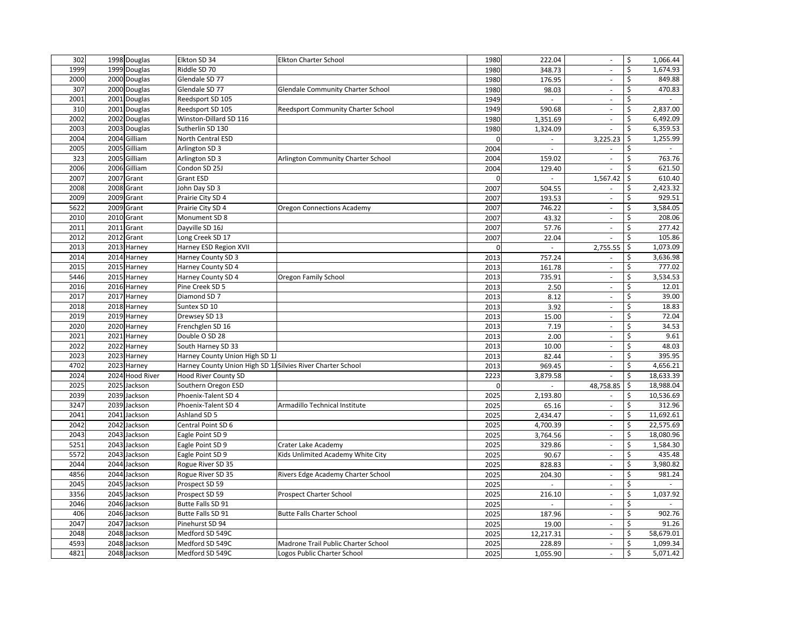| 302  | 1998 Douglas    | Elkton SD 34                                                | <b>Elkton Charter School</b>              | 1980         | 222.04                   | $\sim$                      | \$<br>1,066.44                 |
|------|-----------------|-------------------------------------------------------------|-------------------------------------------|--------------|--------------------------|-----------------------------|--------------------------------|
| 1999 | 1999 Douglas    | Riddle SD 70                                                |                                           | 1980         | 348.73                   | ä,                          | \$<br>1,674.93                 |
| 2000 | 2000 Douglas    | Glendale SD 77                                              |                                           | 1980         | 176.95                   | $\overline{\phantom{a}}$    | 849.88<br>\$                   |
| 307  | 2000 Douglas    | Glendale SD 77                                              | Glendale Community Charter School         | 1980         | 98.03                    | $\sim$                      | 470.83<br>\$                   |
| 2001 | 2001 Douglas    | Reedsport SD 105                                            |                                           | 1949         | $\omega$                 | $\sim$                      | Ś                              |
| 310  | 2001 Douglas    | Reedsport SD 105                                            | Reedsport Community Charter School        | 1949         | 590.68                   | $\overline{\phantom{a}}$    | \$<br>2,837.00                 |
| 2002 | 2002 Douglas    | Winston-Dillard SD 116                                      |                                           | 1980         | 1,351.69                 | $\overline{\phantom{a}}$    | \$<br>6,492.09                 |
| 2003 | 2003 Douglas    | Sutherlin SD 130                                            |                                           | 1980         | 1,324.09                 |                             | \$<br>6,359.53                 |
| 2004 | 2004 Gilliam    | North Central ESD                                           |                                           | $\mathbf{0}$ | $\overline{\phantom{a}}$ | 3,225.23                    | \$<br>1,255.99                 |
| 2005 | 2005 Gilliam    | Arlington SD 3                                              |                                           | 2004         |                          |                             | \$                             |
| 323  | 2005 Gilliam    | Arlington SD 3                                              | <b>Arlington Community Charter School</b> | 2004         | 159.02                   | $\overline{\phantom{a}}$    | 763.76<br>\$                   |
| 2006 | 2006 Gilliam    | Condon SD 25J                                               |                                           | 2004         | 129.40                   | ×.                          | \$<br>621.50                   |
| 2007 | 2007 Grant      | Grant ESD                                                   |                                           | $\mathbf 0$  | $\omega$                 | 1,567.42                    | 610.40<br>\$                   |
| 2008 | 2008 Grant      | John Day SD 3                                               |                                           | 2007         | 504.55                   | $\overline{\phantom{a}}$    | 2,423.32<br>Ś                  |
| 2009 | 2009 Grant      | Prairie City SD 4                                           |                                           | 2007         | 193.53                   | $\overline{\phantom{a}}$    | 929.51<br>\$                   |
| 5622 | 2009 Grant      | Prairie City SD 4                                           | <b>Oregon Connections Academy</b>         | 2007         | 746.22                   | $\omega$                    | 3,584.05<br>\$                 |
| 2010 | 2010 Grant      | Monument SD 8                                               |                                           | 2007         | 43.32                    | $\overline{\phantom{a}}$    | 208.06<br>\$                   |
| 2011 | 2011 Grant      | Dayville SD 16J                                             |                                           | 2007         | 57.76                    | $\overline{\phantom{a}}$    | \$<br>277.42                   |
| 2012 | 2012 Grant      | Long Creek SD 17                                            |                                           | 2007         | 22.04                    | ×.                          | 105.86<br>\$                   |
| 2013 | 2013 Harney     | Harney ESD Region XVII                                      |                                           | $\Omega$     | $\omega$                 | 2,755.55                    | \$<br>1,073.09                 |
| 2014 | 2014 Harney     | Harney County SD 3                                          |                                           | 2013         | 757.24                   | $\overline{\phantom{a}}$    | \$<br>3,636.98                 |
| 2015 | 2015 Harney     | Harney County SD 4                                          |                                           | 2013         | 161.78                   | $\sim$                      | Ś<br>777.02                    |
| 5446 | 2015 Harney     | Harney County SD 4                                          | Oregon Family School                      | 2013         | 735.91                   | ä,                          | \$<br>3,534.53                 |
| 2016 | 2016 Harney     | Pine Creek SD 5                                             |                                           | 2013         | 2.50                     | $\overline{\phantom{a}}$    | \$<br>12.01                    |
| 2017 | 2017 Harney     | Diamond SD 7                                                |                                           | 2013         | 8.12                     | ä,                          | \$<br>39.00                    |
| 2018 | 2018 Harney     | Suntex SD 10                                                |                                           | 2013         | 3.92                     | $\mathcal{L}_{\mathcal{A}}$ | 18.83<br>\$                    |
| 2019 | 2019 Harney     | Drewsey SD 13                                               |                                           | 2013         | 15.00                    | $\mathcal{L}_{\mathcal{A}}$ | 72.04<br>\$                    |
| 2020 | 2020 Harney     | Frenchglen SD 16                                            |                                           | 2013         | 7.19                     | $\Box$                      | 34.53<br>\$                    |
| 2021 | 2021 Harney     | Double O SD 28                                              |                                           | 2013         | 2.00                     | $\mathcal{L}_{\mathcal{A}}$ | \$<br>9.61                     |
| 2022 | 2022 Harney     | South Harney SD 33                                          |                                           | 2013         | 10.00                    | $\sim$                      | \$<br>48.03                    |
| 2023 | 2023 Harney     | Harney County Union High SD 1J                              |                                           | 2013         | 82.44                    | $\mathcal{L}_{\mathcal{A}}$ | 395.95<br>\$                   |
| 4702 | 2023 Harney     | Harney County Union High SD 1J Silvies River Charter School |                                           | 2013         | 969.45                   | $\overline{\phantom{a}}$    | \$<br>4,656.21                 |
| 2024 | 2024 Hood River | Hood River County SD                                        |                                           | 2223         | 3,879.58                 | $\omega$                    | 18,633.39<br>\$                |
| 2025 | 2025 Jackson    | Southern Oregon ESD                                         |                                           | $\mathbf 0$  |                          | 48,758.85                   | 18,988.04<br>\$                |
| 2039 | 2039 Jackson    | Phoenix-Talent SD 4                                         |                                           | 2025         | 2,193.80                 | $\sim$                      | \$<br>10,536.69                |
| 3247 | 2039 Jackson    | Phoenix-Talent SD 4                                         | Armadillo Technical Institute             | 2025         | 65.16                    | $\overline{\phantom{a}}$    | \$<br>312.96                   |
| 2041 | 2041 Jackson    | Ashland SD 5                                                |                                           | 2025         | 2,434.47                 | $\sim$                      | \$<br>11,692.61                |
| 2042 | 2042 Jackson    | Central Point SD 6                                          |                                           | 2025         | 4,700.39                 | ä,                          | \$<br>22,575.69                |
| 2043 | 2043 Jackson    | Eagle Point SD 9                                            |                                           | 2025         | 3,764.56                 | ÷,                          | \$<br>18,080.96                |
| 5251 | 2043 Jackson    | Eagle Point SD 9                                            | Crater Lake Academy                       | 2025         | 329.86                   | $\mathcal{L}_{\mathcal{A}}$ | 1,584.30<br>\$                 |
| 5572 | 2043 Jackson    | Eagle Point SD 9                                            | Kids Unlimited Academy White City         | 2025         | 90.67                    | $\mathcal{L}_{\mathcal{A}}$ | 435.48<br>\$                   |
| 2044 | 2044 Jackson    | Rogue River SD 35                                           |                                           | 2025         | 828.83                   | $\mathcal{L}$               | 3,980.82<br>\$                 |
| 4856 | 2044 Jackson    | Rogue River SD 35                                           | Rivers Edge Academy Charter School        | 2025         | 204.30                   | $\overline{\phantom{a}}$    | \$<br>981.24                   |
| 2045 | 2045 Jackson    | Prospect SD 59                                              |                                           | 2025         | $\omega$                 | $\overline{\phantom{a}}$    | \$<br>$\overline{\phantom{a}}$ |
| 3356 | 2045 Jackson    | Prospect SD 59                                              | Prospect Charter School                   | 2025         | 216.10                   | ä,                          | \$<br>1,037.92                 |
| 2046 | 2046 Jackson    | <b>Butte Falls SD 91</b>                                    |                                           | 2025         | $\blacksquare$           | $\mathcal{L}_{\mathcal{A}}$ | \$<br>$\sim$                   |
| 406  | 2046 Jackson    | Butte Falls SD 91                                           | <b>Butte Falls Charter School</b>         | 2025         | 187.96                   | $\overline{\phantom{a}}$    | \$<br>902.76                   |
| 2047 | 2047 Jackson    | Pinehurst SD 94                                             |                                           | 2025         | 19.00                    | $\omega$                    | \$<br>91.26                    |
| 2048 | 2048 Jackson    | Medford SD 549C                                             |                                           | 2025         | 12,217.31                | $\overline{\phantom{a}}$    | 58,679.01<br>\$                |
| 4593 | 2048 Jackson    | Medford SD 549C                                             | Madrone Trail Public Charter School       | 2025         | 228.89                   | $\overline{\phantom{a}}$    | 1,099.34<br>\$                 |
| 4821 | 2048 Jackson    | Medford SD 549C                                             | Logos Public Charter School               | 2025         | 1,055.90                 | ä,                          | \$<br>5,071.42                 |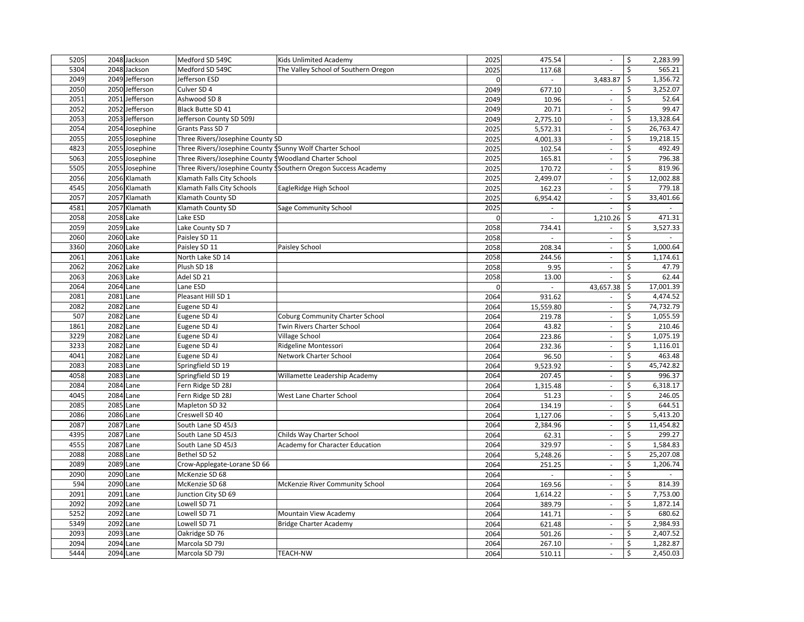| 5205 |           | 2048 Jackson   | Medford SD 549C                                          | Kids Unlimited Academy                                         | 2025         | 475.54                   | $\overline{\phantom{a}}$    | 2,283.99<br>\$                                    |
|------|-----------|----------------|----------------------------------------------------------|----------------------------------------------------------------|--------------|--------------------------|-----------------------------|---------------------------------------------------|
| 5304 |           | 2048 Jackson   | Medford SD 549C                                          | The Valley School of Southern Oregon                           | 2025         | 117.68                   | $\sim$                      | \$<br>565.21                                      |
| 2049 |           | 2049 Jefferson | Jefferson ESD                                            |                                                                | $\Omega$     | $\blacksquare$           | 3,483.87                    | 1,356.72<br>\$                                    |
| 2050 |           | 2050 Jefferson | Culver SD 4                                              |                                                                | 2049         | 677.10                   | $\sim$                      | 3,252.07<br>\$                                    |
| 2051 |           | 2051 Jefferson | Ashwood SD 8                                             |                                                                | 2049         | 10.96                    | $\mathcal{L}_{\mathcal{A}}$ | Ś<br>52.64                                        |
| 2052 |           | 2052 Jefferson | <b>Black Butte SD 41</b>                                 |                                                                | 2049         | 20.71                    | $\sim$                      | \$<br>99.47                                       |
| 2053 |           | 2053 Jefferson | Jefferson County SD 509J                                 |                                                                | 2049         | 2,775.10                 | $\sim$                      | \$<br>13,328.64                                   |
| 2054 |           | 2054 Josephine | Grants Pass SD 7                                         |                                                                | 2025         | 5,572.31                 | ÷,                          | \$<br>26,763.47                                   |
| 2055 |           | 2055 Josephine | Three Rivers/Josephine County SD                         |                                                                | 2025         | 4,001.33                 | ÷,                          | 19,218.15<br>\$                                   |
| 4823 |           | 2055 Josephine | Three Rivers/Josephine County SSunny Wolf Charter School |                                                                | 2025         | 102.54                   | ä,                          | \$<br>492.49                                      |
| 5063 |           | 2055 Josephine | Three Rivers/Josephine County 9 Woodland Charter School  |                                                                | 2025         | 165.81                   | $\overline{\phantom{a}}$    | 796.38<br>\$                                      |
| 5505 |           | 2055 Josephine |                                                          | Three Rivers/Josephine County SSouthern Oregon Success Academy | 2025         | 170.72                   | $\Box$                      | 819.96<br>\$                                      |
| 2056 |           | 2056 Klamath   | Klamath Falls City Schools                               |                                                                | 2025         | 2,499.07                 | $\mathcal{L}_{\mathcal{A}}$ | \$<br>12,002.88                                   |
| 4545 |           | 2056 Klamath   | Klamath Falls City Schools                               | EagleRidge High School                                         | 2025         | 162.23                   | $\Box$                      | \$<br>779.18                                      |
| 2057 |           | 2057 Klamath   | Klamath County SD                                        |                                                                | 2025         | 6,954.42                 | $\overline{\phantom{a}}$    | \$<br>33,401.66                                   |
| 4581 |           | 2057 Klamath   | Klamath County SD                                        | Sage Community School                                          | 2025         | $\blacksquare$           | ä,                          | \$<br>$\overline{\phantom{a}}$                    |
| 2058 |           | 2058 Lake      | Lake ESD                                                 |                                                                | $\mathbf{0}$ | $\overline{\phantom{a}}$ | 1,210.26                    | 471.31<br>\$                                      |
| 2059 |           | 2059 Lake      | Lake County SD 7                                         |                                                                | 2058         | 734.41                   | $\mathcal{L}_{\mathcal{A}}$ | \$<br>3,527.33                                    |
| 2060 | 2060 Lake |                | Paisley SD 11                                            |                                                                | 2058         | $\sim$                   | $\sim$                      | $\ddot{\varsigma}$<br>$\mathcal{L}_{\mathcal{A}}$ |
| 3360 | 2060 Lake |                | Paisley SD 11                                            | Paisley School                                                 | 2058         | 208.34                   | $\mathcal{L}_{\mathcal{A}}$ | Ś<br>1,000.64                                     |
| 2061 | 2061 Lake |                | North Lake SD 14                                         |                                                                | 2058         | 244.56                   | $\overline{\phantom{a}}$    | \$<br>1,174.61                                    |
| 2062 | 2062 Lake |                | Plush SD 18                                              |                                                                | 2058         | 9.95                     | $\overline{\phantom{a}}$    | \$<br>47.79                                       |
| 2063 | 2063 Lake |                | Adel SD 21                                               |                                                                | 2058         | 13.00                    |                             | \$<br>62.44                                       |
| 2064 |           | 2064 Lane      | Lane ESD                                                 |                                                                | $\mathbf 0$  | ÷,                       | 43,657.38                   | 17,001.39<br>\$                                   |
| 2081 |           | 2081 Lane      | Pleasant Hill SD 1                                       |                                                                | 2064         | 931.62                   |                             | \$<br>4,474.52                                    |
| 2082 |           | 2082 Lane      | Eugene SD 4J                                             |                                                                | 2064         | 15,559.80                | $\sim$                      | \$<br>74,732.79                                   |
| 507  | 2082      | Lane           | Eugene SD 4J                                             | Coburg Community Charter School                                | 2064         | 219.78                   | $\Box$                      | 1,055.59<br>Ś.                                    |
| 1861 |           | 2082 Lane      | Eugene SD 4J                                             | Twin Rivers Charter School                                     | 2064         | 43.82                    | $\omega$                    | 210.46<br>\$                                      |
| 3229 |           | 2082 Lane      | Eugene SD 4J                                             | Village School                                                 | 2064         | 223.86                   | $\omega$                    | \$<br>1,075.19                                    |
| 3233 | 2082      | Lane           | Eugene SD 4J                                             | Ridgeline Montessori                                           | 2064         | 232.36                   | $\overline{\phantom{a}}$    | \$<br>1,116.01                                    |
| 4041 | 2082      | Lane           | Eugene SD 4J                                             | <b>Network Charter School</b>                                  | 2064         | 96.50                    | $\omega$                    | 463.48<br>\$                                      |
| 2083 |           | 2083 Lane      | Springfield SD 19                                        |                                                                | 2064         | 9,523.92                 | ÷,                          | \$<br>45,742.82                                   |
| 4058 |           | 2083 Lane      | Springfield SD 19                                        | Willamette Leadership Academy                                  | 2064         | 207.45                   | $\overline{\phantom{a}}$    | \$<br>996.37                                      |
| 2084 |           | 2084 Lane      | Fern Ridge SD 28J                                        |                                                                | 2064         | 1,315.48                 | $\sim$                      | \$<br>6,318.17                                    |
| 4045 |           | 2084 Lane      | Fern Ridge SD 28J                                        | West Lane Charter School                                       | 2064         | 51.23                    | $\sim$                      | \$<br>246.05                                      |
| 2085 | 2085      | Lane           | Mapleton SD 32                                           |                                                                | 2064         | 134.19                   | $\sim$                      | \$<br>644.51                                      |
| 2086 |           | 2086 Lane      | Creswell SD 40                                           |                                                                | 2064         | 1,127.06                 | $\sim$                      | Ś<br>5,413.20                                     |
| 2087 |           | 2087 Lane      | South Lane SD 45J3                                       |                                                                | 2064         | 2,384.96                 | ä,                          | \$<br>11,454.82                                   |
| 4395 |           | 2087 Lane      | South Lane SD 45J3                                       | Childs Way Charter School                                      | 2064         | 62.31                    | ÷,                          | 299.27<br>\$                                      |
| 4555 | 2087      | Lane           | South Lane SD 45J3                                       | Academy for Character Education                                | 2064         | 329.97                   | $\omega$                    | \$<br>1,584.83                                    |
| 2088 | 2088 Lane |                | Bethel SD 52                                             |                                                                | 2064         | 5,248.26                 | $\mathcal{L}_{\mathcal{A}}$ | \$<br>25,207.08                                   |
| 2089 | 2089      | Lane           | Crow-Applegate-Lorane SD 66                              |                                                                | 2064         | 251.25                   | $\mathcal{L}$               | \$<br>1,206.74                                    |
| 2090 |           | 2090 Lane      | McKenzie SD 68                                           |                                                                | 2064         | $\blacksquare$           | $\overline{\phantom{a}}$    | \$<br>$\overline{\phantom{a}}$                    |
| 594  | 2090      | Lane           | McKenzie SD 68                                           | McKenzie River Community School                                | 2064         | 169.56                   | $\mathcal{L}_{\mathcal{A}}$ | \$<br>814.39                                      |
| 2091 |           | 2091 Lane      | Junction City SD 69                                      |                                                                | 2064         | 1,614.22                 | ÷,                          | \$<br>7,753.00                                    |
| 2092 |           | 2092 Lane      | Lowell SD 71                                             |                                                                | 2064         | 389.79                   | $\mathcal{L}_{\mathcal{A}}$ | \$<br>1,872.14                                    |
| 5252 |           | 2092 Lane      | Lowell SD 71                                             | Mountain View Academy                                          | 2064         | 141.71                   | $\overline{\phantom{a}}$    | \$<br>680.62                                      |
| 5349 |           | 2092 Lane      | Lowell SD 71                                             | <b>Bridge Charter Academy</b>                                  | 2064         | 621.48                   | $\omega$                    | \$<br>2,984.93                                    |
| 2093 |           | 2093 Lane      | Oakridge SD 76                                           |                                                                | 2064         | 501.26                   | $\sim$                      | \$<br>2,407.52                                    |
| 2094 |           | 2094 Lane      | Marcola SD 79J                                           |                                                                | 2064         | 267.10                   | $\sim$                      | 1,282.87<br>\$                                    |
| 5444 |           | 2094 Lane      | Marcola SD 79J                                           | <b>TEACH-NW</b>                                                | 2064         | 510.11                   | $\mathcal{L}$               | \$<br>2,450.03                                    |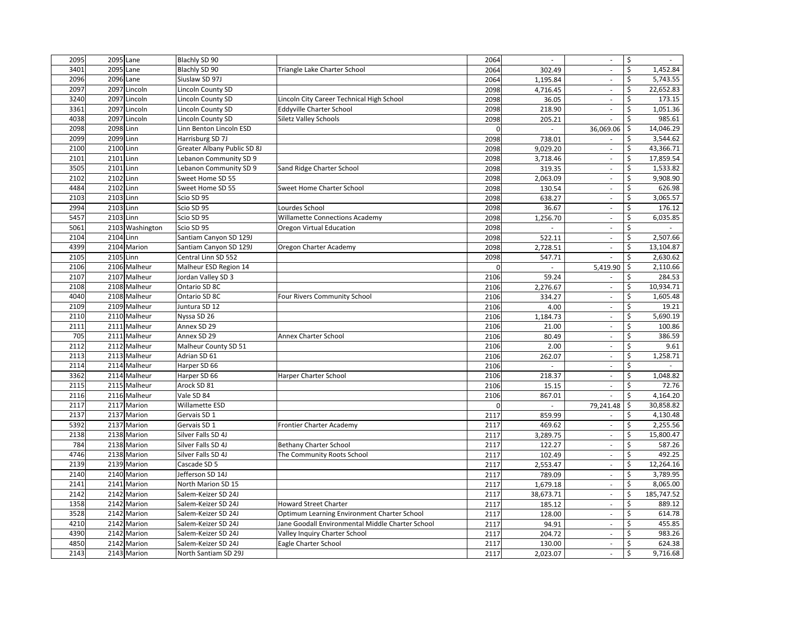| 2095 | 2095 Lane |                 | Blachly SD 90               |                                                  | 2064           | $\sim$       | $\sim$                      | \$<br>$\sim$     |
|------|-----------|-----------------|-----------------------------|--------------------------------------------------|----------------|--------------|-----------------------------|------------------|
| 3401 | 2095 Lane |                 | Blachly SD 90               | Triangle Lake Charter School                     | 2064           | 302.49       | $\overline{\phantom{a}}$    | \$<br>1,452.84   |
| 2096 | 2096 Lane |                 | Siuslaw SD 97J              |                                                  | 2064           | 1.195.84     | $\mathcal{L}_{\mathcal{A}}$ | 5,743.55<br>\$   |
| 2097 |           | 2097 Lincoln    | Lincoln County SD           |                                                  | 2098           | 4,716.45     | $\overline{\phantom{a}}$    | \$<br>22,652.83  |
| 3240 |           | 2097 Lincoln    | Lincoln County SD           | Lincoln City Career Technical High School        | 2098           | 36.05        | $\omega$                    | \$<br>173.15     |
| 3361 |           | 2097 Lincoln    | Lincoln County SD           | <b>Eddyville Charter School</b>                  | 2098           | 218.90       | ×.                          | \$<br>1,051.36   |
| 4038 |           | 2097 Lincoln    | Lincoln County SD           | Siletz Valley Schools                            | 2098           | 205.21       | $\sim$                      | 985.61<br>\$     |
| 2098 | 2098 Linn |                 | Linn Benton Lincoln ESD     |                                                  | O              |              | 36,069.06                   | \$<br>14,046.29  |
| 2099 | 2099 Linn |                 | Harrisburg SD 7J            |                                                  | 2098           | 738.01       | $\sim$                      | \$<br>3,544.62   |
| 2100 | 2100 Linn |                 | Greater Albany Public SD 8J |                                                  | 2098           | 9,029.20     | $\sim$                      | \$<br>43,366.71  |
| 2101 | 2101 Linn |                 | Lebanon Community SD 9      |                                                  | 2098           | 3,718.46     | $\overline{\phantom{a}}$    | 17,859.54<br>\$  |
| 3505 | 2101 Linn |                 | Lebanon Community SD 9      | Sand Ridge Charter School                        | 2098           | 319.35       | ä,                          | \$<br>1,533.82   |
| 2102 | 2102 Linn |                 | Sweet Home SD 55            |                                                  | 2098           | 2,063.09     | $\overline{\phantom{a}}$    | 9,908.90<br>\$   |
| 4484 | 2102 Linn |                 | Sweet Home SD 55            | Sweet Home Charter School                        | 2098           | 130.54       | $\mathcal{L}_{\mathcal{A}}$ | 626.98<br>\$     |
| 2103 | 2103 Linn |                 | Scio SD 95                  |                                                  | 2098           | 638.27       | $\mathcal{L}$               | \$<br>3,065.57   |
| 2994 | 2103 Linn |                 | Scio SD 95                  | Lourdes School                                   | 2098           | 36.67        | $\mathcal{L}_{\mathcal{A}}$ | Ś<br>176.12      |
| 5457 | 2103 Linn |                 | Scio SD 95                  | Willamette Connections Academy                   | 2098           | 1,256.70     | $\overline{\phantom{a}}$    | \$<br>6,035.85   |
| 5061 |           | 2103 Washington | Scio SD 95                  | Oregon Virtual Education                         | 2098           | $\omega$     | $\overline{\phantom{a}}$    | \$<br>$\sim$     |
| 2104 | 2104 Linn |                 | Santiam Canyon SD 129J      |                                                  | 2098           | 522.11       | $\overline{\phantom{a}}$    | \$<br>2,507.66   |
| 4399 |           | 2104 Marion     | Santiam Canyon SD 129J      | Oregon Charter Academy                           | 2098           | 2,728.51     | ä,                          | \$<br>13,104.87  |
| 2105 | 2105 Linn |                 | Central Linn SD 552         |                                                  | 2098           | 547.71       | $\sim$                      | \$<br>2,630.62   |
| 2106 |           | 2106 Malheur    | Malheur ESD Region 14       |                                                  | $\mathbf 0$    | ä,           | 5,419.90                    | 2,110.66<br>\$   |
| 2107 |           | 2107 Malheur    | Jordan Valley SD 3          |                                                  | 2106           | 59.24        | ×.                          | \$<br>284.53     |
| 2108 |           | 2108 Malheur    | Ontario SD 8C               |                                                  | 2106           | 2,276.67     | $\sim$                      | \$<br>10,934.71  |
| 4040 |           | 2108 Malheur    | Ontario SD 8C               | Four Rivers Community School                     | 2106           | 334.27       | $\sim$                      | \$<br>1,605.48   |
| 2109 |           | 2109 Malheur    | Juntura SD 12               |                                                  | 2106           | 4.00         | ä,                          | \$<br>19.21      |
| 2110 |           | 2110 Malheur    | Nyssa SD 26                 |                                                  | 2106           | 1,184.73     | ÷,                          | 5,690.19<br>\$   |
| 2111 |           | 2111 Malheur    | Annex SD 29                 |                                                  | 2106           | 21.00        | $\sim$                      | 100.86<br>\$     |
| 705  |           | 2111 Malheur    | Annex SD 29                 | Annex Charter School                             | 2106           | 80.49        | $\mathcal{L}_{\mathcal{A}}$ | 386.59<br>\$     |
| 2112 |           | 2112 Malheur    | Malheur County SD 51        |                                                  | 2106           | 2.00         | $\mathcal{L}$               | \$<br>9.61       |
| 2113 |           | 2113 Malheur    | Adrian SD 61                |                                                  | 2106           | 262.07       | $\omega$                    | \$<br>1,258.71   |
| 2114 |           | 2114 Malheur    | Harper SD 66                |                                                  | 2106           | $\omega$     | $\overline{\phantom{a}}$    | \$<br>$\sim$     |
| 3362 |           | 2114 Malheur    | Harper SD 66                | Harper Charter School                            | 2106           | 218.37       | $\omega$                    | \$<br>1,048.82   |
| 2115 |           | 2115 Malheur    | Arock SD 81                 |                                                  | 2106           | 15.15        | $\sim$                      | \$<br>72.76      |
| 2116 |           | 2116 Malheur    | Vale SD 84                  |                                                  | 2106           | 867.01       | ä,                          | 4,164.20<br>\$   |
| 2117 |           | 2117 Marion     | Willamette ESD              |                                                  | $\overline{0}$ | $\mathbf{r}$ | 79,241.48                   | \$<br>30,858.82  |
| 2137 |           | 2137 Marion     | Gervais SD 1                |                                                  | 2117           | 859.99       | $\mathcal{L}_{\mathcal{A}}$ | \$<br>4,130.48   |
| 5392 |           | 2137 Marion     | Gervais SD 1                | Frontier Charter Academy                         | 2117           | 469.62       | $\overline{\phantom{a}}$    | 2,255.56<br>\$   |
| 2138 |           | 2138 Marion     | Silver Falls SD 4J          |                                                  | 2117           | 3,289.75     | $\overline{\phantom{a}}$    | \$<br>15,800.47  |
| 784  |           | 2138 Marion     | Silver Falls SD 4J          | <b>Bethany Charter School</b>                    | 2117           | 122.27       | $\overline{\phantom{a}}$    | \$<br>587.26     |
| 4746 |           | 2138 Marion     | Silver Falls SD 4J          | The Community Roots School                       | 2117           | 102.49       | $\overline{\phantom{a}}$    | 492.25<br>Ś      |
| 2139 |           | 2139 Marion     | Cascade SD 5                |                                                  | 2117           | 2,553.47     | $\overline{\phantom{a}}$    | \$<br>12,264.16  |
| 2140 |           | 2140 Marion     | Jefferson SD 14J            |                                                  | 2117           | 789.09       | $\mathcal{L}$               | \$<br>3,789.95   |
| 2141 |           | 2141 Marion     | North Marion SD 15          |                                                  | 2117           | 1,679.18     | $\sim$                      | \$<br>8,065.00   |
| 2142 |           | 2142 Marion     | Salem-Keizer SD 24J         |                                                  | 2117           | 38,673.71    | $\mathcal{L}_{\mathcal{A}}$ | \$<br>185,747.52 |
| 1358 |           | 2142 Marion     | Salem-Keizer SD 24J         | <b>Howard Street Charter</b>                     | 2117           | 185.12       | $\sim$                      | Ś<br>889.12      |
| 3528 |           | 2142 Marion     | Salem-Keizer SD 24J         | Optimum Learning Environment Charter School      | 2117           | 128.00       | $\overline{\phantom{a}}$    | \$<br>614.78     |
| 4210 |           | 2142 Marion     | Salem-Keizer SD 24J         | Jane Goodall Environmental Middle Charter School | 2117           | 94.91        | $\overline{\phantom{a}}$    | \$<br>455.85     |
| 4390 |           | 2142 Marion     | Salem-Keizer SD 24J         | Valley Inquiry Charter School                    | 2117           | 204.72       | $\sim$                      | \$<br>983.26     |
| 4850 |           | 2142 Marion     | Salem-Keizer SD 24J         | Eagle Charter School                             | 2117           | 130.00       | $\mathcal{L}_{\mathcal{A}}$ | 624.38<br>\$     |
| 2143 |           | 2143 Marion     | North Santiam SD 29J        |                                                  | 2117           | 2,023.07     | $\overline{\phantom{a}}$    | \$<br>9,716.68   |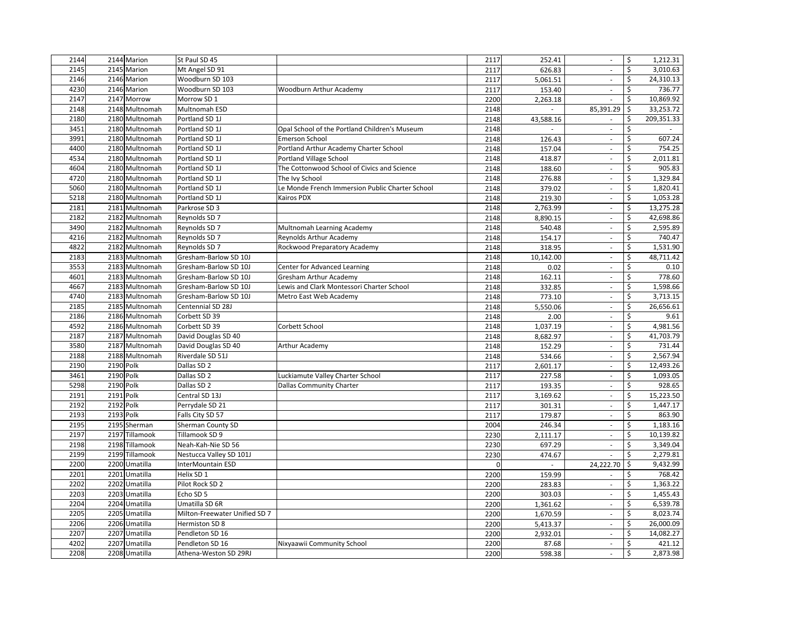| 2144 | 2144 Marion    | St Paul SD 45                 |                                                 | 2117     | 252.41    | $\sim$                      | \$<br>1,212.31      |
|------|----------------|-------------------------------|-------------------------------------------------|----------|-----------|-----------------------------|---------------------|
| 2145 | 2145 Marion    | Mt Angel SD 91                |                                                 | 2117     | 626.83    | $\mathcal{L}_{\mathcal{A}}$ | \$<br>3,010.63      |
| 2146 | 2146 Marion    | Woodburn SD 103               |                                                 | 2117     | 5.061.51  | $\omega$                    | 24,310.13<br>\$     |
| 4230 | 2146 Marion    | Woodburn SD 103               | Woodburn Arthur Academy                         | 2117     | 153.40    | $\overline{\phantom{a}}$    | 736.77<br>\$        |
| 2147 | 2147 Morrow    | Morrow SD 1                   |                                                 | 2200     | 2,263.18  | $\omega$                    | \$<br>10,869.92     |
| 2148 | 2148 Multnomah | Multnomah ESD                 |                                                 | 2148     |           | 85,391.29                   | 33,253.72<br>\$     |
| 2180 | 2180 Multnomah | Portland SD 1J                |                                                 | 2148     | 43,588.16 | $\mathcal{L}_{\mathcal{A}}$ | Ś<br>209,351.33     |
| 3451 | 2180 Multnomah | Portland SD 1J                | Opal School of the Portland Children's Museum   | 2148     |           | $\overline{\phantom{a}}$    | \$                  |
| 3991 | 2180 Multnomah | Portland SD 1J                | <b>Emerson School</b>                           | 2148     | 126.43    | $\mathcal{L}_{\mathcal{A}}$ | Ś<br>607.24         |
| 4400 | 2180 Multnomah | Portland SD 1J                | Portland Arthur Academy Charter School          | 2148     | 157.04    | $\sim$                      | \$<br>754.25        |
| 4534 | 2180 Multnomah | Portland SD 1J                | <b>Portland Village School</b>                  | 2148     | 418.87    | ä,                          | \$<br>2,011.81      |
| 4604 | 2180 Multnomah | Portland SD 1J                | The Cottonwood School of Civics and Science     | 2148     | 188.60    | $\omega$                    | \$<br>905.83        |
| 4720 | 2180 Multnomah | Portland SD 1J                | The Ivy School                                  | 2148     | 276.88    | $\mathcal{L}_{\mathcal{A}}$ | 1,329.84<br>\$      |
| 5060 | 2180 Multnomah | Portland SD 1J                | Le Monde French Immersion Public Charter School | 2148     | 379.02    | $\omega$                    | \$<br>1,820.41      |
| 5218 | 2180 Multnomah | Portland SD 1J                | <b>Kairos PDX</b>                               | 2148     | 219.30    | $\mathcal{L}_{\mathcal{A}}$ | \$<br>1,053.28      |
| 2181 | 2181 Multnomah | Parkrose SD 3                 |                                                 | 2148     | 2,763.99  | $\overline{\phantom{a}}$    | \$<br>13,275.28     |
| 2182 | 2182 Multnomah | Reynolds SD 7                 |                                                 | 2148     | 8,890.15  | $\overline{\phantom{a}}$    | 42,698.86<br>\$     |
| 3490 | 2182 Multnomah | Reynolds SD 7                 | Multnomah Learning Academy                      | 2148     | 540.48    | $\omega$                    | 2,595.89<br>\$      |
| 4216 | 2182 Multnomah | Reynolds SD 7                 | Reynolds Arthur Academy                         | 2148     | 154.17    | $\sim$                      | 740.47<br>\$        |
| 4822 | 2182 Multnomah | Reynolds SD 7                 | Rockwood Preparatory Academy                    | 2148     | 318.95    | $\omega$                    | \$<br>1,531.90      |
| 2183 | 2183 Multnomah | Gresham-Barlow SD 10J         |                                                 | 2148     | 10,142.00 | $\sim$                      | \$<br>48,711.42     |
| 3553 | 2183 Multnomah | Gresham-Barlow SD 10J         | Center for Advanced Learning                    | 2148     | 0.02      | $\sim$                      | \$<br>0.10          |
| 4601 | 2183 Multnomah | Gresham-Barlow SD 10J         | <b>Gresham Arthur Academy</b>                   | 2148     | 162.11    | ä,                          | 778.60<br>\$        |
| 4667 | 2183 Multnomah | Gresham-Barlow SD 10J         | Lewis and Clark Montessori Charter School       | 2148     | 332.85    | $\Box$                      | \$<br>1,598.66      |
| 4740 | 2183 Multnomah | Gresham-Barlow SD 10J         | Metro East Web Academy                          | 2148     | 773.10    | $\sim$                      | 3,713.15<br>\$      |
| 2185 | 2185 Multnomah | Centennial SD 28J             |                                                 | 2148     | 5,550.06  | $\omega$                    | \$<br>26,656.61     |
| 2186 | 2186 Multnomah | Corbett SD 39                 |                                                 | 2148     | 2.00      | $\mathcal{L}_{\mathcal{A}}$ | \$<br>9.61          |
| 4592 | 2186 Multnomah | Corbett SD 39                 | Corbett School                                  | 2148     | 1,037.19  | $\mathcal{L}_{\mathcal{A}}$ | 4,981.56<br>\$      |
| 2187 | 2187 Multnomah | David Douglas SD 40           |                                                 | 2148     | 8,682.97  | $\mathcal{L}_{\mathcal{A}}$ | 41,703.79<br>\$     |
| 3580 | 2187 Multnomah | David Douglas SD 40           | <b>Arthur Academy</b>                           | 2148     | 152.29    | $\sim$                      | \$<br>731.44        |
| 2188 | 2188 Multnomah | Riverdale SD 51J              |                                                 | 2148     | 534.66    | $\omega$                    | 2,567.94<br>\$      |
| 2190 | 2190 Polk      | Dallas SD <sub>2</sub>        |                                                 | 2117     | 2,601.17  | $\sim$                      | \$<br>12,493.26     |
| 3461 | 2190 Polk      | Dallas SD <sub>2</sub>        | Luckiamute Valley Charter School                | 2117     | 227.58    | $\mathcal{L}_{\mathcal{A}}$ | \$<br>1,093.05      |
| 5298 | 2190 Polk      | Dallas SD <sub>2</sub>        | <b>Dallas Community Charter</b>                 | 2117     | 193.35    | $\sim$                      | \$<br>928.65        |
| 2191 | 2191 Polk      | Central SD 13J                |                                                 | 2117     | 3,169.62  | $\omega$                    | 15,223.50<br>\$     |
| 2192 | 2192 Polk      | Perrydale SD 21               |                                                 | 2117     | 301.31    | $\overline{\phantom{a}}$    | \$<br>1,447.17      |
| 2193 | 2193 Polk      | Falls City SD 57              |                                                 | 2117     | 179.87    | $\sim$                      | \$<br>863.90        |
| 2195 | 2195 Sherman   | Sherman County SD             |                                                 | 2004     | 246.34    | $\mathcal{L}_{\mathcal{A}}$ | \$<br>1,183.16      |
| 2197 | 2197 Tillamook | Tillamook SD 9                |                                                 | 2230     | 2,111.17  | ä,                          | \$<br>10,139.82     |
| 2198 | 2198 Tillamook | Neah-Kah-Nie SD 56            |                                                 | 2230     | 697.29    | ä,                          | 3,349.04<br>\$      |
| 2199 | 2199 Tillamook | Nestucca Valley SD 101J       |                                                 | 2230     | 474.67    | ÷.                          | \$<br>2,279.81      |
| 2200 | 2200 Umatilla  | InterMountain ESD             |                                                 | $\Omega$ | $\omega$  | 24,222.70                   | 9,432.99<br>\$      |
| 2201 | 2201 Umatilla  | Helix SD 1                    |                                                 | 2200     | 159.99    | $\mathcal{L}_{\mathcal{A}}$ | 768.42<br>\$        |
| 2202 | 2202 Umatilla  | Pilot Rock SD 2               |                                                 | 2200     | 283.83    | $\mathcal{L}_{\mathcal{A}}$ | $\zeta$<br>1,363.22 |
| 2203 | 2203 Umatilla  | Echo SD 5                     |                                                 | 2200     | 303.03    | $\mathcal{L}_{\mathcal{A}}$ | \$<br>1,455.43      |
| 2204 | 2204 Umatilla  | Umatilla SD 6R                |                                                 | 2200     | 1,361.62  | $\mathcal{L}_{\mathcal{A}}$ | 6,539.78<br>\$      |
| 2205 | 2205 Umatilla  | Milton-Freewater Unified SD 7 |                                                 | 2200     | 1,670.59  | $\sim$                      | \$<br>8,023.74      |
| 2206 | 2206 Umatilla  | Hermiston SD 8                |                                                 | 2200     | 5,413.37  | $\omega$                    | \$<br>26,000.09     |
| 2207 | 2207 Umatilla  | Pendleton SD 16               |                                                 | 2200     | 2,932.01  | $\sim$                      | 14,082.27<br>\$     |
| 4202 | 2207 Umatilla  | Pendleton SD 16               | Nixyaawii Community School                      | 2200     | 87.68     | $\sim$                      | 421.12<br>\$        |
| 2208 | 2208 Umatilla  | Athena-Weston SD 29RJ         |                                                 | 2200     | 598.38    | $\sim$                      | \$<br>2,873.98      |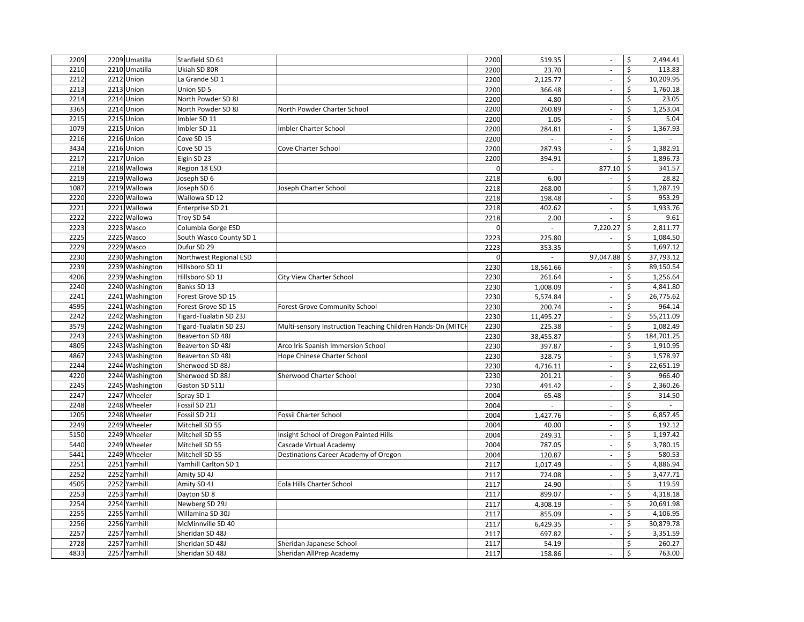| 2209 | 2209 Umatilla   | Stanfield SD 61         |                                                             | 2200           | 519.35         | $\sim$                      | \$<br>2,494.41              |
|------|-----------------|-------------------------|-------------------------------------------------------------|----------------|----------------|-----------------------------|-----------------------------|
| 2210 | 2210 Umatilla   | Ukiah SD 80R            |                                                             | 2200           | 23.70          | $\overline{\phantom{a}}$    | \$<br>113.83                |
| 2212 | 2212 Union      | La Grande SD 1          |                                                             | 2200           | 2,125.77       | $\mathcal{L}_{\mathcal{A}}$ | 10,209.95<br>\$             |
| 2213 | 2213 Union      | Union SD 5              |                                                             | 2200           | 366.48         | $\overline{\phantom{a}}$    | \$<br>1,760.18              |
| 2214 | 2214 Union      | North Powder SD 8J      |                                                             | 2200           | 4.80           | $\omega$                    | \$<br>23.05                 |
| 3365 | 2214 Union      | North Powder SD 8J      | North Powder Charter School                                 | 2200           | 260.89         | $\sim$                      | \$<br>1,253.04              |
| 2215 | 2215 Union      | Imbler SD 11            |                                                             | 2200           | 1.05           | $\sim$                      | \$<br>5.04                  |
| 1079 | 2215 Union      | Imbler SD 11            | Imbler Charter School                                       | 2200           | 284.81         | $\blacksquare$              | \$<br>1,367.93              |
| 2216 | 2216 Union      | Cove SD 15              |                                                             | 2200           | $\blacksquare$ | $\mathcal{L}_{\mathcal{A}}$ | Ś                           |
| 3434 | 2216 Union      | Cove SD 15              | Cove Charter School                                         | 2200           | 287.93         | ä,                          | \$<br>1,382.91              |
| 2217 | 2217 Union      | Elgin SD 23             |                                                             | 2200           | 394.91         | ÷,                          | \$<br>1,896.73              |
| 2218 | 2218 Wallowa    | Region 18 ESD           |                                                             | $\Omega$       | $\mathcal{L}$  | 877.10                      | \$<br>341.57                |
| 2219 | 2219 Wallowa    | Joseph SD 6             |                                                             | 2218           | 6.00           | $\overline{\phantom{a}}$    | 28.82<br>\$                 |
| 1087 | 2219 Wallowa    | Joseph SD 6             | Joseph Charter School                                       | 2218           | 268.00         | $\mathcal{L}_{\mathcal{A}}$ | 1,287.19<br>\$              |
| 2220 | 2220 Wallowa    | Wallowa SD 12           |                                                             | 2218           | 198.48         | $\sim$                      | 953.29<br>\$                |
| 2221 | 2221 Wallowa    | Enterprise SD 21        |                                                             | 2218           | 402.62         | $\omega$                    | Ŝ<br>1,933.76               |
| 2222 | 2222 Wallowa    | Troy SD 54              |                                                             | 2218           | 2.00           | $\overline{\phantom{a}}$    | \$<br>9.61                  |
| 2223 | 2223 Wasco      | Columbia Gorge ESD      |                                                             | $\overline{0}$ | $\omega$       | 7,220.27                    | 2,811.77<br>\$              |
| 2225 | 2225 Wasco      | South Wasco County SD 1 |                                                             | 2223           | 225.80         | $\overline{\phantom{a}}$    | 1,084.50<br>\$              |
| 2229 | 2229 Wasco      | Dufur SD 29             |                                                             | 2223           | 353.35         | ä,                          | \$<br>1,697.12              |
| 2230 | 2230 Washington | Northwest Regional ESD  |                                                             | $\mathbf{0}$   | $\omega$       | 97,047.88                   | 37,793.12<br>\$             |
| 2239 | 2239 Washington | Hillsboro SD 1J         |                                                             | 2230           | 18,561.66      | $\sim$                      | 89,150.54<br>\$             |
| 4206 | 2239 Washington | Hillsboro SD 1J         | City View Charter School                                    | 2230           | 261.64         | $\sim$                      | \$<br>1,256.64              |
| 2240 | 2240 Washington | Banks SD 13             |                                                             | 2230           | 1,008.09       | $\mathcal{L}_{\mathcal{A}}$ | \$<br>4,841.80              |
| 2241 | 2241 Washington | Forest Grove SD 15      |                                                             | 2230           | 5,574.84       | $\sim$                      | \$<br>26,775.62             |
| 4595 | 2241 Washington | Forest Grove SD 15      | Forest Grove Community School                               | 2230           | 200.74         | ä,                          | \$<br>964.14                |
| 2242 | 2242 Washington | Tigard-Tualatin SD 23J  |                                                             | 2230           | 11,495.27      | $\overline{\phantom{a}}$    | \$<br>55,211.09             |
| 3579 | 2242 Washington | Tigard-Tualatin SD 23J  | Multi-sensory Instruction Teaching Children Hands-On (MITCI | 2230           | 225.38         | ÷.                          | 1,082.49<br>\$              |
| 2243 | 2243 Washington | Beaverton SD 48J        |                                                             | 2230           | 38,455.87      | $\mathcal{L}_{\mathcal{A}}$ | \$<br>184,701.25            |
| 4805 | 2243 Washington | Beaverton SD 48J        | Arco Iris Spanish Immersion School                          | 2230           | 397.87         | $\mathcal{L}$               | \$<br>1,910.95              |
| 4867 | 2243 Washington | Beaverton SD 48J        | Hope Chinese Charter School                                 | 2230           | 328.75         | $\overline{\phantom{a}}$    | 1,578.97<br>\$              |
| 2244 | 2244 Washington | Sherwood SD 88J         |                                                             | 2230           | 4,716.11       | $\overline{\phantom{a}}$    | \$<br>22,651.19             |
| 4220 | 2244 Washington | Sherwood SD 88J         | Sherwood Charter School                                     | 2230           | 201.21         | $\overline{\phantom{a}}$    | \$<br>966.40                |
| 2245 | 2245 Washington | Gaston SD 511J          |                                                             | 2230           | 491.42         | $\sim$                      | \$<br>2,360.26              |
| 2247 | 2247 Wheeler    | Spray SD 1              |                                                             | 2004           | 65.48          | $\overline{\phantom{a}}$    | \$<br>314.50                |
| 2248 | 2248 Wheeler    | Fossil SD 21J           |                                                             | 2004           | $\sim$         | $\overline{\phantom{a}}$    | \$<br>$\sim$                |
| 1205 | 2248 Wheeler    | Fossil SD 21J           | Fossil Charter School                                       | 2004           | 1,427.76       | $\mathcal{L}_{\mathcal{A}}$ | \$<br>6,857.45              |
| 2249 | 2249 Wheeler    | Mitchell SD 55          |                                                             | 2004           | 40.00          | $\overline{\phantom{a}}$    | 192.12<br>\$                |
| 5150 | 2249 Wheeler    | Mitchell SD 55          | Insight School of Oregon Painted Hills                      | 2004           | 249.31         | $\overline{\phantom{a}}$    | \$<br>1,197.42              |
| 5440 | 2249 Wheeler    | Mitchell SD 55          | Cascade Virtual Academy                                     | 2004           | 787.05         | $\Box$                      | \$<br>3,780.15              |
| 5441 | 2249 Wheeler    | Mitchell SD 55          | Destinations Career Academy of Oregon                       | 2004           | 120.87         | $\overline{\phantom{a}}$    | 580.53<br>Ś                 |
| 2251 | 2251 Yamhill    | Yamhill Carlton SD 1    |                                                             | 2117           | 1,017.49       | $\overline{\phantom{a}}$    | 4,886.94<br>\$              |
| 2252 | 2252 Yamhill    | Amity SD 4J             |                                                             | 2117           | 724.08         | $\omega$                    | \$<br>3,477.71              |
| 4505 | 2252 Yamhill    | Amity SD 4J             | Eola Hills Charter School                                   | 2117           | 24.90          | $\sim$                      | \$<br>119.59                |
| 2253 | 2253 Yamhill    | Dayton SD 8             |                                                             | 2117           | 899.07         | $\mathcal{L}_{\mathcal{A}}$ | \$<br>4,318.18              |
| 2254 | 2254 Yamhill    | Newberg SD 29J          |                                                             | 2117           | 4,308.19       | $\mathcal{L}$               | Ś<br>20,691.98              |
| 2255 | 2255 Yamhill    | Willamina SD 30J        |                                                             | 2117           | 855.09         | $\overline{\phantom{a}}$    | \$<br>$\overline{4,}106.95$ |
| 2256 | 2256 Yamhill    | McMinnville SD 40       |                                                             | 2117           | 6,429.35       | $\mathcal{L}_{\mathcal{A}}$ | \$<br>30,879.78             |
| 2257 | 2257 Yamhill    | Sheridan SD 48J         |                                                             | 2117           | 697.82         | $\overline{\phantom{a}}$    | \$<br>3,351.59              |
| 2728 | 2257 Yamhill    | Sheridan SD 48J         | Sheridan Japanese School                                    | 2117           | 54.19          | $\omega$                    | 260.27<br>\$                |
| 4833 | 2257 Yamhill    | Sheridan SD 48J         | Sheridan AllPrep Academy                                    | 2117           | 158.86         | $\overline{\phantom{a}}$    | \$<br>763.00                |